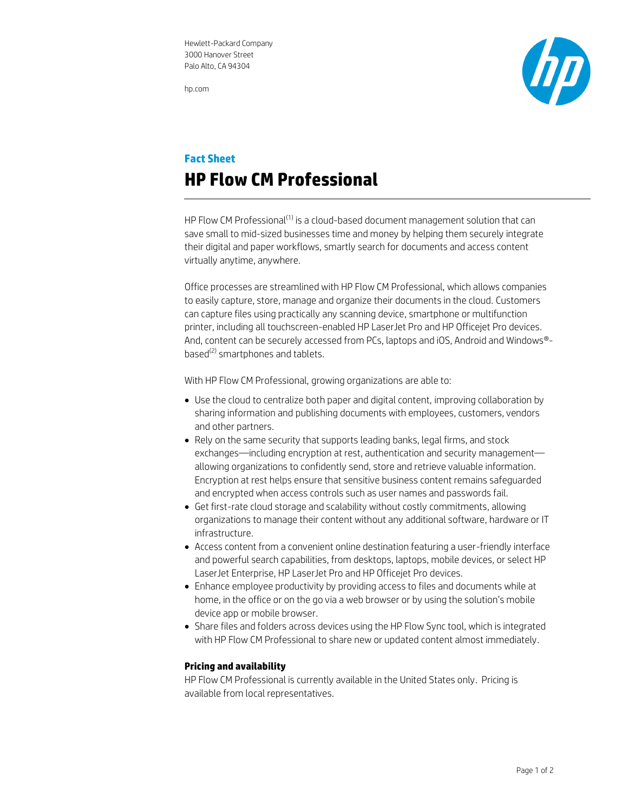hp.com



## **Fact Sheet HP Flow CM Professional**

HP Flow CM Professional<sup>(1)</sup> is a cloud-based document management solution that can save small to mid-sized businesses time and money by helping them securely integrate their digital and paper workflows, smartly search for documents and access content virtually anytime, anywhere.

Office processes are streamlined with HP Flow CM Professional, which allows companies to easily capture, store, manage and organize their documents in the cloud. Customers can capture files using practically any scanning device, smartphone or multifunction printer, including all touchscreen-enabled HP LaserJet Pro and HP Officejet Pro devices. And, content can be securely accessed from PCs, laptops and iOS, Android and Windows® based<sup>(2)</sup> smartphones and tablets.

With HP Flow CM Professional, growing organizations are able to:

- Use the cloud to centralize both paper and digital content, improving collaboration by sharing information and publishing documents with employees, customers, vendors and other partners.
- Rely on the same security that supports leading banks, legal firms, and stock exchanges—including encryption at rest, authentication and security management allowing organizations to confidently send, store and retrieve valuable information. Encryption at rest helps ensure that sensitive business content remains safeguarded and encrypted when access controls such as user names and passwords fail.
- Get first-rate cloud storage and scalability without costly commitments, allowing organizations to manage their content without any additional software, hardware or IT infrastructure.
- Access content from a convenient online destination featuring a user-friendly interface and powerful search capabilities, from desktops, laptops, mobile devices, or select HP LaserJet Enterprise, HP LaserJet Pro and HP Officejet Pro devices.
- Enhance employee productivity by providing access to files and documents while at home, in the office or on the go via a web browser or by using the solution's mobile device app or mobile browser.
- Share files and folders across devices using the HP Flow Sync tool, which is integrated with HP Flow CM Professional to share new or updated content almost immediately.

## **Pricing and availability**

HP Flow CM Professional is currently available in the United States only. Pricing is available from local representatives.